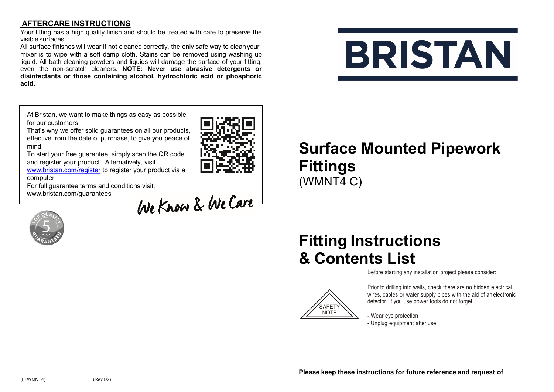#### **AFTERCARE INSTRUCTIONS**

Your fitting has a high quality finish and should be treated with care to preserve the visible surfaces.

All surface finishes will wear if not cleaned correctly, the only safe way to cleanyour mixer is to wipe with a soft damp cloth. Stains can be removed using washing up liquid. All bath cleaning powders and liquids will damage the surface of your fitting, even the non-scratch cleaners. **NOTE: Never use abrasive detergents or disinfectants or those containing alcohol, hydrochloric acid or phosphoric acid.**

# **BRISTAN**

At Bristan, we want to make things as easy as possible for our customers.

That's why we offer solid guarantees on all our products, effective from the date of purchase, to give you peace of mind.

To start your free guarantee, simply scan the QR code and register your product. Alternatively, visit

[www.bristan.com/register](http://www.bristan.com/register) to register your product via a computer

For full guarantee terms and conditions visit,<br>www.bristan.com/guarantees<br>
Ale Kham & We Care www.bristan.com/guarantees



## **Surface Mounted Pipework Fittings** (WMNT4 C)

## **Fitting Instructions & Contents List**

Before starting any installation project please consider:



Prior to drilling into walls, check there are no hidden electrical wires, cables or water supply pipes with the aid of an electronic detector. If you use power tools do not forget:

- Wear eye protection - Unplug equipment after use